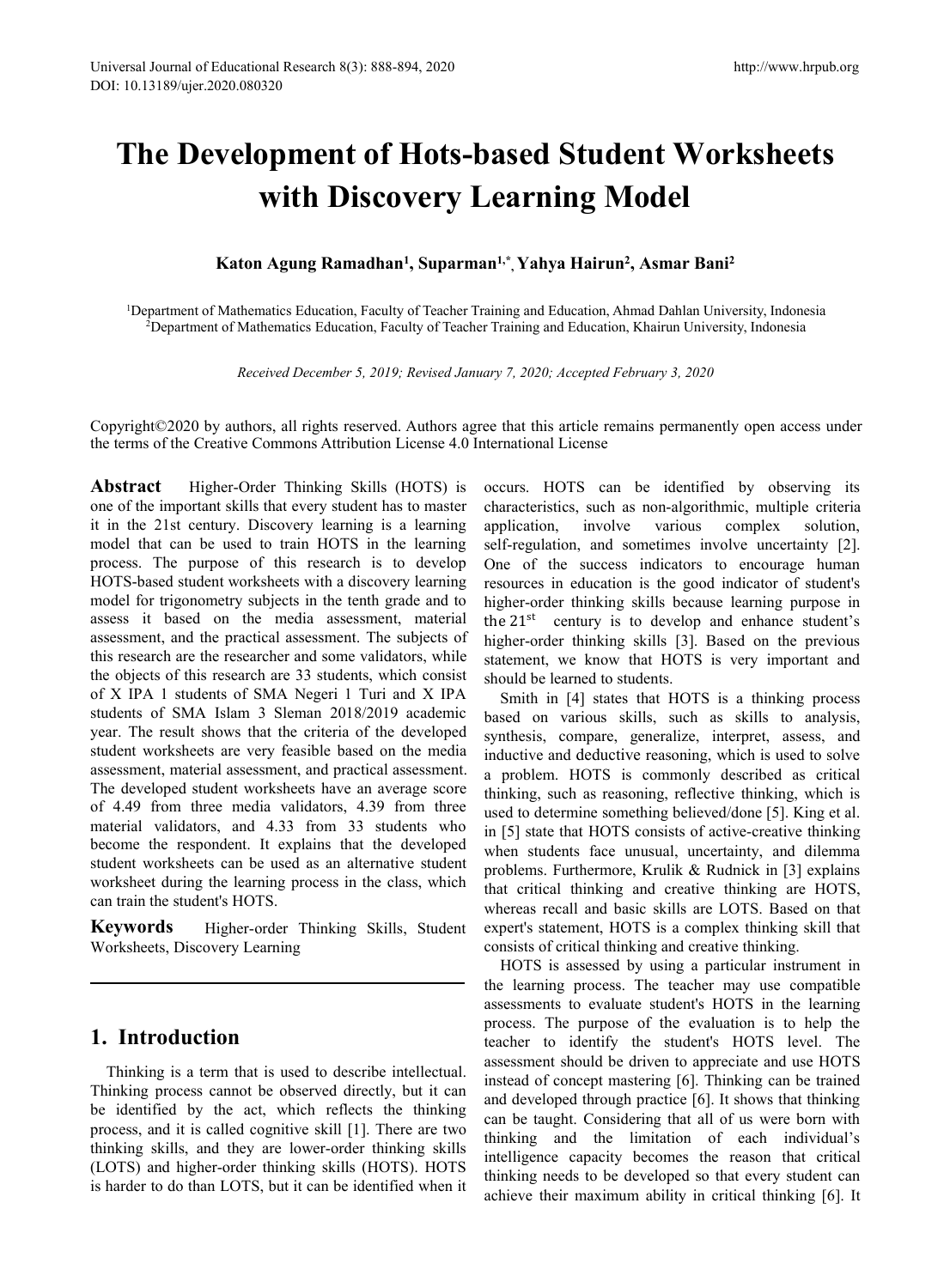# rersal Journal of Educational Research 8(3): 888-894, 2020<br>
10.13189/ujer.2020.080320<br> **The Development of Hots-based Student Worksheets**<br> **with Discovery Learning Model**<br>
Katon Agung Ramadhan<sup>1</sup>, Suparman<sup>1,\*</sup>, Yahya Hair mal Research 8(3): 888-894, 2020<br> **Displayer of Hots-based Student Worksheets**<br> **with Discovery Learning Model**<br> **Model**<br> **Magung Ramadhan', Suparman<sup>1,\*</sup>, Yahya Hairun<sup>2</sup>, Asmar Bani<sup>2</sup><br>
Indices Education, Faculty of Teac** Educational Research 8(3): 888-894, 2020<br>020.080320<br>**With Discovery Learning**<br>Katon Agung Ramadhan<sup>1</sup>, Suparman<sup>1,\*</sup>, Yahya Hai<br>Mathematics Education, Faculty of Teacher Training and Education<br>of Mathematics Education, Fac <sup>94, 2020<br>**Hots-based Student V<br>very Learning Model**<br>, Suparman<sup>1,\*</sup>, Yahya Hairun<sup>2</sup>, Asmar<br>of Teacher Training and Education, Ahmad Dahla<br>Ity of Teacher Training and Education, Khairun U</sup> http://www.hrpub.com<br> **Sed Student Worksheets<br>
<b>Arning Model**<br> **Stand Hairun<sup>2</sup>, Asmar Bani<sup>2</sup><br>
Independent Morkship (Indonesia<br>
Ining and Education, Khairun University, Indonesia<br>
Ining and Education, Khairun University,** http://www.hrpub.org<br> **ent Worksheets<br>
[odel**<br> **, Asmar Bani<sup>2</sup><br>
mad Dahlan University, Indonesia<br>
Khairun University, Indonesia 12 Final Development of Hots-based Student Worksheets**<br> **12 With Discovery Learning Model**<br> **12 Katon Agung Ramadhan<sup>1</sup>, Suparman<sup>1,\*</sup>, Yahya Hairun<sup>2</sup>, Asmar Bani<sup>2</sup><br>
<sup>13</sup>Department of Mathematics Education, Faculty of T 2Development of Hots-based Student Worksheets**<br> **2Department of Mathematics Education, Faculty of Teacher Training and Education, Ahmad Dahlan University, Indonesia<br>
2Department of Mathematics Education, Faculty of Teache** *Received December 5, 2019; Revised January 7, 2020; Accepted February 3, 2020***<br>** *Received December 5, 2019; Revised January 7, 2020; Accepted February 3, 2020***<br>** *Received December 5, 2019; Revised January 7, 2020; Accept*

With Discovery Learning Model<br>
Katon Agung Ramadhan<sup>1</sup>, Suparman<sup>1,\*</sup>, Yahya Hairun<sup>2</sup>, Asmar Bani<sup>2</sup><br>
<sup>1</sup>Department of Mathematics Education, Faculty of Teacher Training and Education, Ahmad Dahlan University, Indonesia<br> Katon Agung Ramadhan<sup>1</sup>, Suparman<sup>1,\*</sup>, Yahya Hairun<sup>2</sup>, Asmar Bani<sup>2</sup><br><sup>2</sup>Department of Mathematics Education, Faculty of Teacher Training and Education, Ahmad Dahlan University, Indonesia<br><sup>2</sup>Department of Mathematics Educ

**Katon Agung Ramadhan<sup>1</sup>, Suparman<sup>1,\*</sup>, Yahya Hairun<sup>2</sup>, Asmar E<br>
<sup>1</sup>Department of Mathematics Education, Faculty of Teacher Training and Education, Ahmad Dahlan<br>
<sup>2</sup>Department of Mathematics Education, Faculty of Teacher** The intertional September of the important skills discover the inclusion, and September of Mathematics Education, Faculty of Teacher Training and Education, Khaire<br> *Received December 5, 2019; Revised January 7, 2020; Acce* <sup>1</sup>Department of Mathematics Education, Faculty of Teacher Training and Education, Ahmad<br><sup>2</sup>Department of Mathematics Education, Faculty of Teacher Training and Education, Khai<br><sup>2</sup>Department of Mathematics Education, Facul "Department of Mathematics Education, Faculty of Teacher Training and Education, Ahmad "Department of Mathematics Education, Faculty of Teacher Training and Education, Khai<br>
Received December 5, 2019; Revised January 7, 2 Examplement of Mathematics Education, Faculty of Feacher Fraining and Education, Khar<br>
Received December 5, 2019; Revised January 7, 2020; Accepted Februar,<br>
Copyright©2020 by authors, all rights reserved. Authors agree t Received December 5, 2019; Revised January 7, 2020; Accepted Februar,<br>Copyright©2020 by authors, all rights reserved. Authors agree that this article remains<br>the terms of the Creative Commons Attribution License 4.0 Inter Received December 5, 2019; Revised January 7, 2020; Accepted February 3, 20<br>
Copyright©2020 by authors, all rights reserved. Authors agree that this article remains perma<br>
the terms of the Creative Commons Attribution Lic Copyright©2020 by authors, all rights reserved. Authors agree that this article remains<br>the terms of the Creative Commons Attribution License 4.0 International License<br>**Abstract** Higher-Order Thinking Skills (HOTS) is occ Copyright©2020 by authors, all rights reserved. Authors agree that this article remains perma<br>the terms of the Creative Commons Attribution License 4.0 International License<br>**Abstract** Higher-Order Thinking Skills (HOTS) Copyright©2020 by authors, all rights reserved. Authors agree that this article remains per<br>the terms of the Creative Commons Attribution License 4.0 International License<br>**Abstract** Higher-Order Thinking Skills (HOTS) is the terms of the Creative Commons Attribution License 4.0 International License<br> **Abstract** Higher-Order Thinking Skills (HOTS) is occurs. HOTS can be is<br>
one of the important skills that every student has to master charac **Abstract** Higher-Order Thinking Skills (HOTS) is occurs. HOTS can be idention on the inter 21st century. Discovery learning is a learning application, involve various it in the 21st century. Discovery learning is a learn **Abstract** Higher-Order Thinking Skills (HOTS) is occurs. HOTS can be one of the important skills that every student has to master characteristics, such as n it in the 21st century. Discovery learning is a learning applic one of the important skills that every student has to master<br>
it in the 21st century. Discovery learning is a learning application, involve<br>
model that can be used to train HOTS in the learning self-regulation, and som<br>
p it in the 21st century. Discovery learning is a learning application, involve vared model that can be used to train HOTS in the learning self-regulation, and sometim process. The purpose of this research is to develop One model that can be used to train HOTS in the learning self-regulation, and sorrocess. The purpose of this research is to develop One of the success HOTS-based student worksheets with a discovery learning resources in educat process. The purpose of this research is to develop One of the success indica<br>HOTS-based student worksheets with a discovery learning resources in education is the<br>model for trigonometry subjects in the tenth grade and to HOTS-based student worksheets with a discovery learning<br>
HOTS-based student worksheets with a discovery learning<br>
medel for trigonometry subjects in the tenth grade and to<br>
higher-order thinking skills b<br>
assessment, and t model for trigonometry subjects in the tenth grade and to higher-order thinking skills be<br>assessment, and the practical assessment. The subjects of higher-order thinking skills be<br>discussment, and the practical assessment. assess it based on the media assessment, material the 21<sup>st</sup> century is to<br>assessment, and the practical assessment. The subjects of higher-order thinking sk<br>this research are the researcher and some validators, while<br>the assessment, and the practical assessment. The subjects of higher-order thinking skills<br>this research are the researcher and some validators, while statement, we know that H<br>the objects of this research are 33 students, whi this research are the researcher and some validators, while united the objects of this research are 33 students, which consist should be learned to students.<br>
of X IPA 1 students of SMA Negeri 1 Turi and X IPA Smith in [4] the objects of this research are 33 students, which consist<br>of X IPA 1 students of SMA Negeri 1 Turi and X IPA<br>students of SMA Islam 3 Sleman 2018/2019 academic<br>year. The result shows that the criteria of the developed<br>stu of X IPA 1 students of SMA Negeri 1 Turi and X IPA<br>
students of SMA Islam 3 Sleman 2018/2019 academic<br>
student for ersult shows that the criteria of the developed<br>
synthesis, compare, gener<br>
student worksheets are very fea students of SMA Islam 3 Sleman 2018/2019 academic<br>
year. The result shows that the criteria of the developed<br>
student worksheets are very feasible based on the media<br>
in<br>
assessment, material assessment, and practical asse **1. Introduction**<br> **1. Introduction** I is a steaman 2018/2019 academic<br>
year. The result shows that the criteria of the developed<br> **5.** steament, material assessment, and practical assessment.<br>
The developed student worksh

For the respondent. It explains that the developed when students face undent worksheets can be used as an alternative student problems. Furthermore, that critical thinking a train the student's HOTS.<br> **Exercise to the enti** worksheet during the learning process in the class, which that critical thinking and<br>can train the student's HOTS.<br> **Exerce** is the thinking Skills, Student expert's statement, HOTS is<br>
Worksheets, Discovery Learning<br>
Work **Example Skills**, Student experts statement, HOTS is wicknown the whole are seen assessments of critical thinking and the learning process. The the analysis of critical thinking and the learning process. The the assessment (EXECUTE: THE SKILLS CONSISTS AND EXECUTE TO A CONSIST CONTINUES AND MOTE IS assessed by usine the learning process. The purpose of the learning process. The purpose of the learning process. The purpose of the learning pro

**Alterative Strain and Education, Ahmad Dahlan University, Indonesia<br>
F Training and Education, Khairun University, Indonesia<br>** *Ary 7, 2020; Accepted February 3, 2020***<br>
<b>Exercity** *Accepted February 3, 2020*<br> **Exercity** characteristics, such as non-algorithmic, multiple criterial and resources in education, such as non-algorithmic, multiple criterial application, multiple criterial application, involve various complex solution, and somet aining and Education, Ahmad Dahlan University, Indonesia<br>
r Training and Education, Khairun University, Indonesia<br>
ary 7, 2020; Accepted February 3, 2020<br>
ee that this article remains permanently open access under<br>
termati self-regulation, Ahmad Dahlan University, Indonesia<br>
r Training and Education, Khairun University, Indonesia<br>
ary 7, 2020; Accepted February 3, 2020<br>
ee that this article remains permanently open access under<br>
ternational Training and Education, Knairun University, Indonesia<br>
ary 7, 2020; Accepted February 3, 2020<br>
ee that this article remains permanently open access under<br>
ternational License<br>
occurs. HOTS can be identified by observing i ary 7, 2020; Accepted February 3, 2020<br>
ee that this article remains permanently open access under<br>
ternational License<br>
occurs. HOTS can be identified by observing its<br>
characteristics, such as non-algorithmic, multiple c ary 7, 2020; Accepted February 3, 2020<br>
ee that this article remains permanently open access under<br>
ternational License<br>
occurs. HOTS can be identified by observing its<br>
characteristics, such as non-algorithmic, multiple c ee that this article remains permanently open access under<br>the ternational License<br>occurs. HOTS can be identified by observing its<br>characteristics, such as non-algorithmic, multiple criteria<br>application, involve various co ee that this article remains permanently open access under<br>ternational License<br>occurs. HOTS can be identified by observing its<br>characteristics, such as non-algorithmic, multiple criteria<br>application, involve various comple ee that this article remains permanently open access under<br>ternational License<br>occurs. HOTS can be identified by observing its<br>characteristics, such as non-algorithmic, multiple criteria<br>application, involve various comple national License<br>
occurs. HOTS can be identified by observing its<br>
characteristics, such as non-algorithmic, multiple criteria<br>
application, involve various complex solution,<br>
self-regulation, and sometimes involve uncerta curs. HOTS can be identified by observing its<br>aracteristics, such as non-algorithmic, multiple criteria<br>plication, involve various complex solution,<br>ff-regulation, and sometimes involve uncertainty [2].<br>ne of the success i occurs. HOTS can be identified by observing its<br>characteristics, such as non-algorithmic, multiple criteria<br>application, involve various complex solution,<br>self-regulation, and sometimes involve uncertainty [2].<br>One of the characteristics, such as non-algorithmic, multiple criteria<br>application, involve various complex solution,<br>self-regulation, and sometimes involve uncertainty [2].<br>One of the success indicators to encourage human<br>resources application, involve various complex solution,<br>self-regulation, and sometimes involve uncertainty [2].<br>One of the success indicators to encourage human<br>resources in education is the good indicator of student's<br>higher-order

self-regulation, and sometimes involve uncertainty [2].<br>One of the success indicators to encourage human<br>resources in education is the good indicator of student's<br>higher-order thinking skills because learning purpose in<br>th One of the success indicators to encourage human<br>resources in education is the good indicator of student's<br>higher-order thinking skills because learning purpose in<br>the 21<sup>st</sup> century is to develop and enhance student's<br>hig resources in education is the good indicator of student's<br>higher-order thinking skills because learning purpose in<br>the 21<sup>st</sup> century is to develop and enhance student's<br>higher-order thinking skills [3]. Based on the previ higher-order thinking skills because learning purpose in<br>the 21<sup>st</sup> century is to develop and enhance student's<br>higher-order thinking skills [3]. Based on the previous<br>statement, we know that HOTS is very important and<br>sho the 21<sup>st</sup> century is to develop and enhance student's<br>higher-order thinking skills [3]. Based on the previous<br>statement, we know that HOTS is very important and<br>should be learned to students.<br>Smith in [4] states that HOTS higher-order thinking skills [3]. Based on the previous<br>statement, we know that HOTS is very important and<br>should be learned to students.<br>Smith in [4] states that HOTS is a thinking process<br>based on various skills, such as statement, we know that HOTS is very important and<br>should be learned to students.<br>Smith in [4] states that HOTS is a thinking process<br>based on various skills, such as skills to analysis,<br>synthesis, compare, generalize, int should be learned to students.<br>
Smith in [4] states that HOTS is a thinking process<br>
based on various skills, such as skills to analysis,<br>
synthesis, compare, generalize, interpret, assess, and<br>
inductive and deductive rea Smith in [4] states that HOTS is a thinking process<br>based on various skills, such as skills to analysis,<br>synthesis, compare, generalize, interpret, assess, and<br>inductive and deductive reasoning, which is used to solve<br>a pr based on various skills, such as skills to analysis,<br>synthesis, compare, generalize, interpret, assess, and<br>inductive and deductive reasoning, which is used to solve<br>a problem. HOTS is commonly described as critical<br>thinki nthesis, compare, generalize, interpret, assess, and<br>ductive and deductive reasoning, which is used to solve<br>problem. HOTS is commonly described as critical<br>nking, such as reasoning, reflective thinking, which is<br>ed to det inductive and deductive reasoning, which is used to solve<br>a problem. HOTS is commonly described as critical<br>thinking, such as reasoning, reflective thinking, which is<br>used to determine something believed/done [5]. King et a problem. HOTS is commonly described as critical<br>thinking, such as reasoning, reflective thinking, which is<br>used to determine something believed/done [5]. King et al.<br>in [5] state that HOTS consists of active-creative thi thinking, such as reasoning, reflective thinking, which is<br>used to determine something believed/done [5]. King et al.<br>in [5] state that HOTS consists of active-creative thinking<br>when students face unusual, uncertainty, and

Student worksheets can be used as an alternative student<br>
worksheet during the learning process in the class, which<br>
worksheet during the learning process in the class, which<br>
that critical thinking and crea<br>
whereas recal extinguing the student's HOTS.<br>
The student experts statement, HOTS is a Worksheets, Discovery Learning<br>
Worksheets, Discovery Learning<br>
Worksheets, Discovery Learning<br>
The learning process. The transmission of critical th **1. Introduction**<br> **introduction**<br> **introduction**<br> **introduction**<br> **introduction**<br> **introduction**<br> **interm** is used to describe intellectual.<br> **intermal is used to describe intellectual.**<br> **intermal is used of compt master** used to determine something believed/done [5]. King et al.<br>in [5] state that HOTS consists of active-creative thinking<br>when students face unusual, uncertainty, and dilemma<br>problems. Furthermore, Krulik & Rudnick in [3] exp in [5] state that HOTS consists of active-creative thinking<br>when students face unusual, uncertainty, and dilemma<br>problems. Furthermore, Krulik & Rudnick in [3] explains<br>that critical thinking and creative thinking are HOTS when students face unusual, uncertainty, and dilemma<br>problems. Furthermore, Krulik & Rudnick in [3] explains<br>that critical thinking and creative thinking are HOTS,<br>whereas recall and basic skills are LOTS. Based on that<br>ex problems. Furthermore, Krulik & Rudnick in [3] explains<br>that critical thinking and creative thinking are HOTS,<br>whereas recall and basic skills are LOTS. Based on that<br>expert's statement, HOTS is a complex thinking skill th that critical thinking and creative thinking are HOTS,<br>whereas recall and basic skills are LOTS. Based on that<br>expert's statement, HOTS is a complex thinking skill that<br>consists of critical thinking and creative thinking.<br> whereas recall and basic skills are LOTS. Based on that expert's statement, HOTS is a complex thinking skill that consists of critical thinking and creative thinking. HOTS is assessed by using a particular instrument in th expert's statement, HOTS is a complex thinking skill that<br>consists of critical thinking and creative thinking.<br>HOTS is assessed by using a particular instrument in<br>the learning process. The teacher may use compatible<br>asses consists of critical thinking and creative thinking.<br>
HOTS is assessed by using a particular instrument in<br>
the learning process. The teacher may use compatible<br>
assessments to evaluate student's HOTS in the learning<br>
proc HOTS is assessed by using a particular instrument in<br>the learning process. The teacher may use compatible<br>assessments to evaluate student's HOTS in the learning<br>process. The purpose of the evaluation is to help the<br>teacher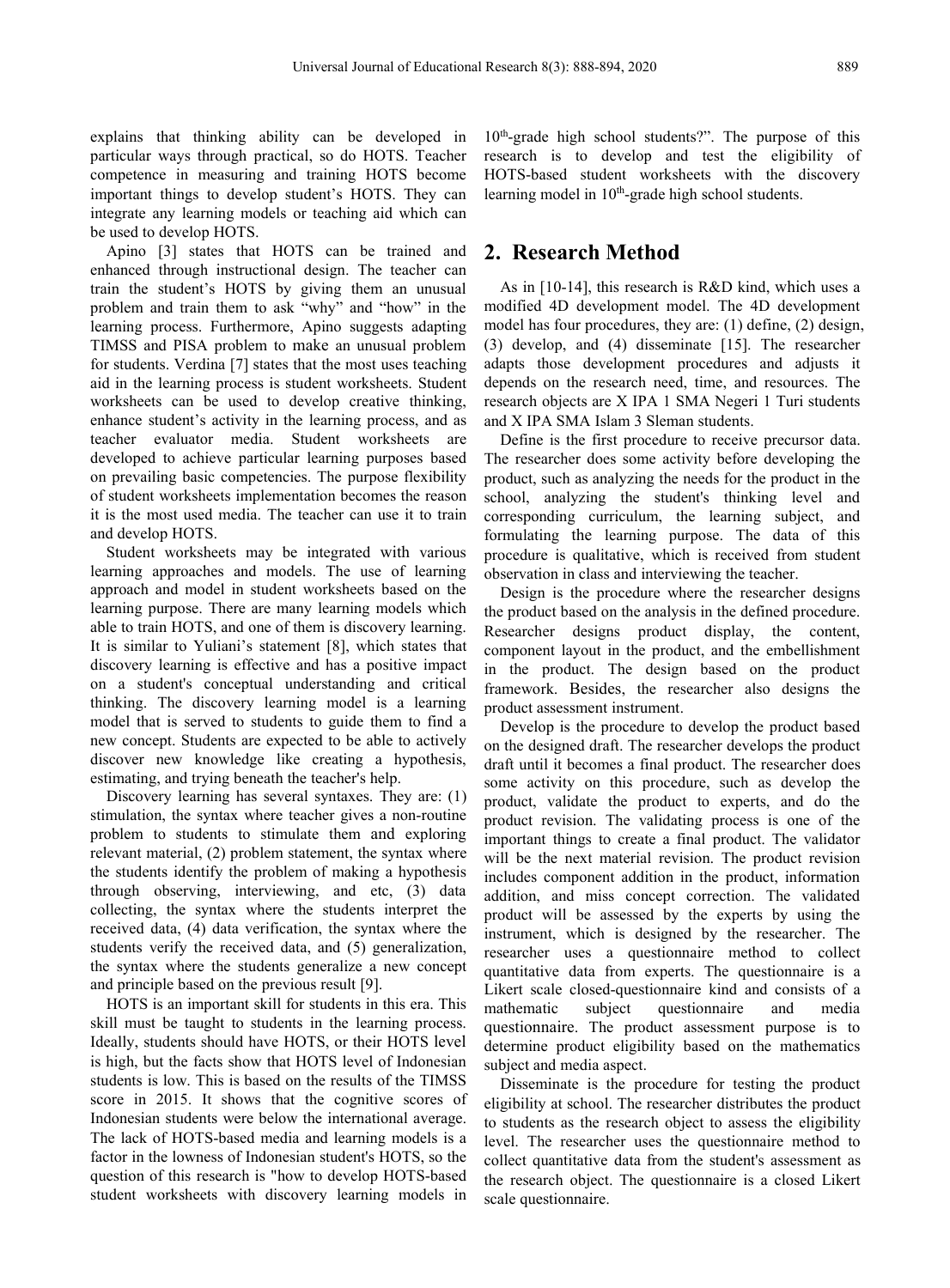explains that thinking ability can be developed in particular ways through practical, so do HOTS. Teacher competence in measuring and training HOTS become important things to develop student's HOTS. They can integrate any learning models or teaching aid which can be used to develop HOTS.

Apino [3] states that HOTS can be trained and enhanced through instructional design. The teacher can train the student's HOTS by giving them an unusual problem and train them to ask "why" and "how" in the learning process. Furthermore, Apino suggests adapting TIMSS and PISA problem to make an unusual problem for students. Verdina [7] states that the most uses teaching aid in the learning process is student worksheets. Student worksheets can be used to develop creative thinking, enhance student's activity in the learning process, and as teacher evaluator media. Student worksheets are developed to achieve particular learning purposes based on prevailing basic competencies. The purpose flexibility of student worksheets implementation becomes the reason it is the most used media. The teacher can use it to train and develop HOTS.

Student worksheets may be integrated with various learning approaches and models. The use of learning approach and model in student worksheets based on the learning purpose. There are many learning models which able to train HOTS, and one of them is discovery learning. It is similar to Yuliani's statement [8], which states that discovery learning is effective and has a positive impact on a student's conceptual understanding and critical thinking. The discovery learning model is a learning model that is served to students to guide them to find a new concept. Students are expected to be able to actively discover new knowledge like creating a hypothesis, estimating, and trying beneath the teacher's help.

Discovery learning has several syntaxes. They are: (1) stimulation, the syntax where teacher gives a non-routine problem to students to stimulate them and exploring relevant material, (2) problem statement, the syntax where the students identify the problem of making a hypothesis through observing, interviewing, and etc, (3) data collecting, the syntax where the students interpret the received data, (4) data verification, the syntax where the students verify the received data, and (5) generalization, the syntax where the students generalize a new concept and principle based on the previous result [9].

HOTS is an important skill for students in this era. This mathematic skill must be taught to students in the learning process. Ideally, students should have HOTS, or their HOTS level is high, but the facts show that HOTS level of Indonesian students is low. This is based on the results of the TIMSS score in 2015. It shows that the cognitive scores of Indonesian students were below the international average. The lack of HOTS-based media and learning models is a factor in the lowness of Indonesian student's HOTS, so the question of this research is "how to develop HOTS-based student worksheets with discovery learning models in

10<sup>th</sup>-grade high school students?". The purpose of this research is to develop and test the eligibility of HOTS-based student worksheets with the discovery learning model in 10<sup>th</sup>-grade high school students.

#### **2. Research Method**

As in [10-14], this research is R&D kind, which uses a modified 4D development model.The 4D development model has four procedures, they are: (1) define, (2) design, (3) develop, and (4) disseminate [15]. The researcher adapts those development procedures and adjusts it depends on the research need, time, and resources. The research objects are X IPA 1 SMA Negeri 1 Turi students and X IPA SMA Islam 3 Sleman students.

Define is the first procedure to receive precursor data. The researcher does some activity before developing the product, such as analyzing the needs for the product in the school, analyzing the student's thinking level and corresponding curriculum, the learning subject, and formulating the learning purpose. The data of this procedure is qualitative, which is received from student observation in class and interviewing the teacher.

Design is the procedure where the researcher designs the product based on the analysis in the defined procedure. Researcher designs product display, the content, component layout in the product, and the embellishment in the product. The design based on the product framework. Besides, the researcher also designs the product assessment instrument.

Develop is the procedure to develop the product based on the designed draft. The researcher develops the product draft until it becomes a final product. The researcher does some activity on this procedure, such as develop the product, validate the product to experts, and do the product revision. The validating process is one of the important things to create a final product. The validator will be the next material revision. The product revision includes component addition in the product, information addition, and miss concept correction. The validated product will be assessed by the experts by using the instrument, which is designed by the researcher. The researcher uses a questionnaire method to collect quantitative data from experts. The questionnaire is a Likert scale closed-questionnaire kind and consists of a subject questionnaire and media questionnaire. The product assessment purpose is to determine product eligibility based on the mathematics subject and media aspect.

Disseminate is the procedure for testing the product eligibility at school. The researcher distributes the product to students as the research object to assess the eligibility level. The researcher uses the questionnaire method to collect quantitative data from the student's assessment as the research object. The questionnaire is a closed Likert scale questionnaire.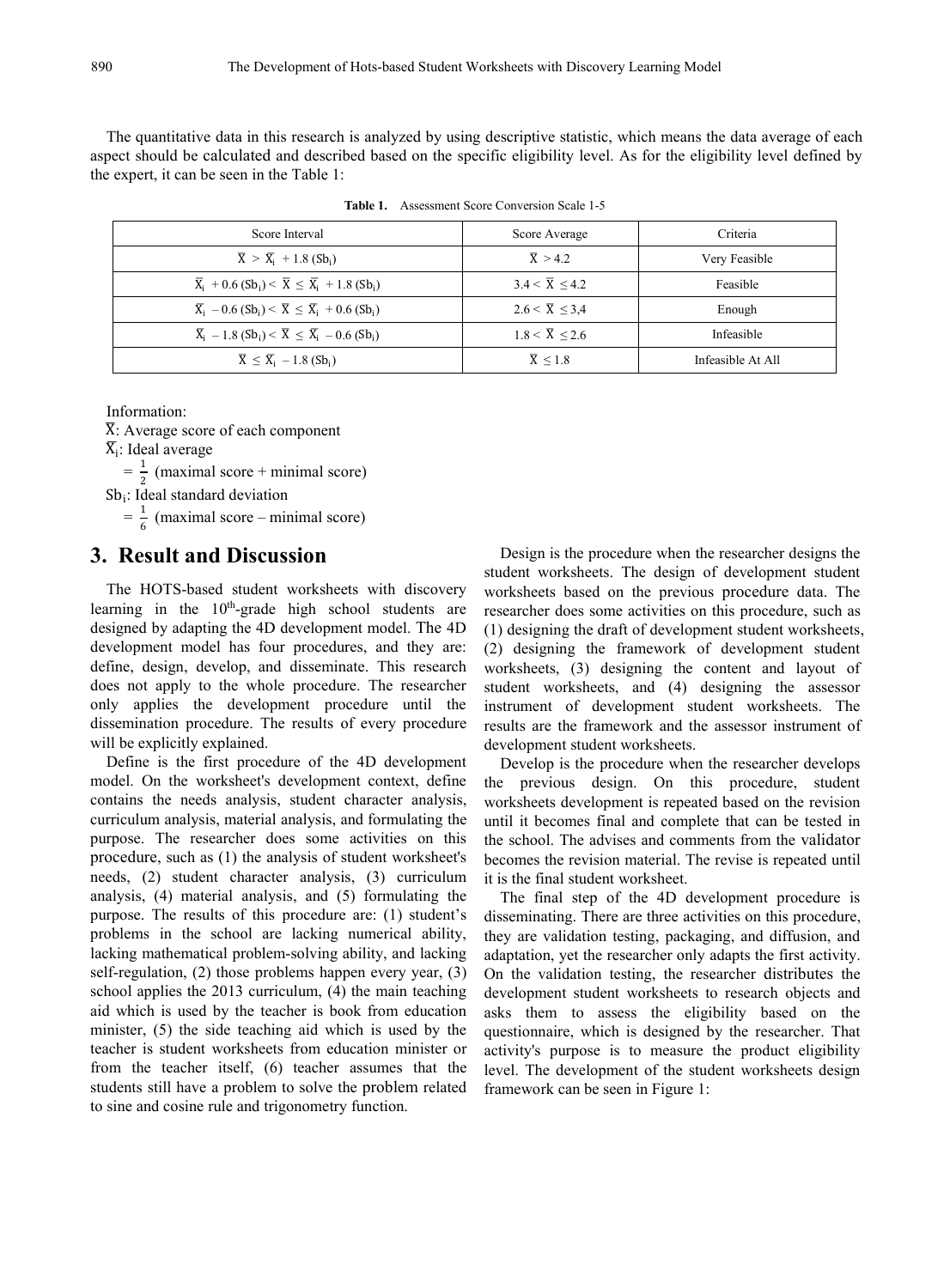The quantitative data in this research is analyzed by using descriptive statistic, which means the data average of each aspect should be calculated and described based on the specific eligibility level. As for the eligibility level defined by the expert, it can be seen in the Table 1:

| Score Interval                                                                                              | Score Average        | Criteria          |
|-------------------------------------------------------------------------------------------------------------|----------------------|-------------------|
| $\overline{X}$ > $\overline{X}_i$ + 1.8 (Sb <sub>i</sub> )                                                  | $\overline{X} > 4.2$ | Very Feasible     |
| $\overline{X}_i$ + 0.6 (Sb <sub>i</sub> ) < $\overline{X} \leq \overline{X}_i$ + 1.8 (Sb <sub>i</sub> )     | 3.4 < X < 4.2        | Feasible          |
| $\overline{X}_i$ – 0.6 (Sb <sub>i</sub> ) < $\overline{X}$ $\leq$ $\overline{X}_i$ + 0.6 (Sb <sub>i</sub> ) | $2.6 < X \leq 3.4$   | Enough            |
| $\overline{X}_i$ – 1.8 (Sb <sub>i</sub> ) < $\overline{X} \leq \overline{X}_i$ – 0.6 (Sb <sub>i</sub> )     | 1.8 < X < 2.6        | Infeasible        |
| $\overline{X} \leq \overline{X}_i - 1.8$ (Sb <sub>i</sub> )                                                 | $\overline{X}$ < 1.8 | Infeasible At All |

**Table 1.** Assessment Score Conversion Scale 1-5

Information:

 $\overline{X}$ : Average score of each component  $\overline{X}_i$ : Ideal average

 $\overline{X}_i$ : Ideal average

 $=\frac{1}{2}$  (maximal score + minimal score)

 $Sb_i$ : Ideal standard deviation

 $=\frac{1}{6}$  (maximal score – mining  $\frac{1}{6}$  (maximal score – minimal score)

#### **3. Result and Discussion**

The HOTS-based student worksheets with discovery learning in the 10<sup>th</sup>-grade high school students are researcher does so designed by adapting the 4D development model. The 4D development model has four procedures, and they are: define, design, develop, and disseminate. This research does not apply to the whole procedure. The researcher only applies the development procedure until the dissemination procedure. The results of every procedure will be explicitly explained.

Define is the first procedure of the 4D development model. On the worksheet's development context, define contains the needs analysis, student character analysis, curriculum analysis, material analysis, and formulating the purpose. The researcher does some activities on this procedure, such as (1) the analysis of student worksheet's needs, (2) student character analysis, (3) curriculum analysis, (4) material analysis, and (5) formulating the purpose. The results of this procedure are: (1) student's problems in the school are lacking numerical ability, lacking mathematical problem-solving ability, and lacking self-regulation, (2) those problems happen every year, (3) school applies the 2013 curriculum, (4) the main teaching aid which is used by the teacher is book from education minister, (5) the side teaching aid which is used by the teacher is student worksheets from education minister or from the teacher itself,  $(6)$  teacher assumes that the students still have a problem to solve the problem related to sine and cosine rule and trigonometry function.

Design is the procedure when the researcher designs the student worksheets. The design of development student worksheets based on the previous procedure data. The researcher does some activities on this procedure, such as (1) designing the draft of development student worksheets, (2) designing the framework of development student worksheets, (3) designing the content and layout of student worksheets, and (4) designing the assessor instrument of development student worksheets. The results are the framework and the assessor instrument of development student worksheets.

Develop is the procedure when the researcher develops the previous design. On this procedure, student worksheets development is repeated based on the revision until it becomes final and complete that can be tested in the school. The advises and comments from the validator becomes the revision material. The revise is repeated until it is the final student worksheet.

The final step of the 4D development procedure is disseminating. There are three activities on this procedure, they are validation testing, packaging, and diffusion, and adaptation, yet the researcher only adapts the first activity. On the validation testing, the researcher distributes the development student worksheets to research objects and asks them to assess the eligibility based on the questionnaire, which is designed by the researcher. That activity's purpose is to measure the product eligibility level. The development of the student worksheets design framework can be seen in Figure 1: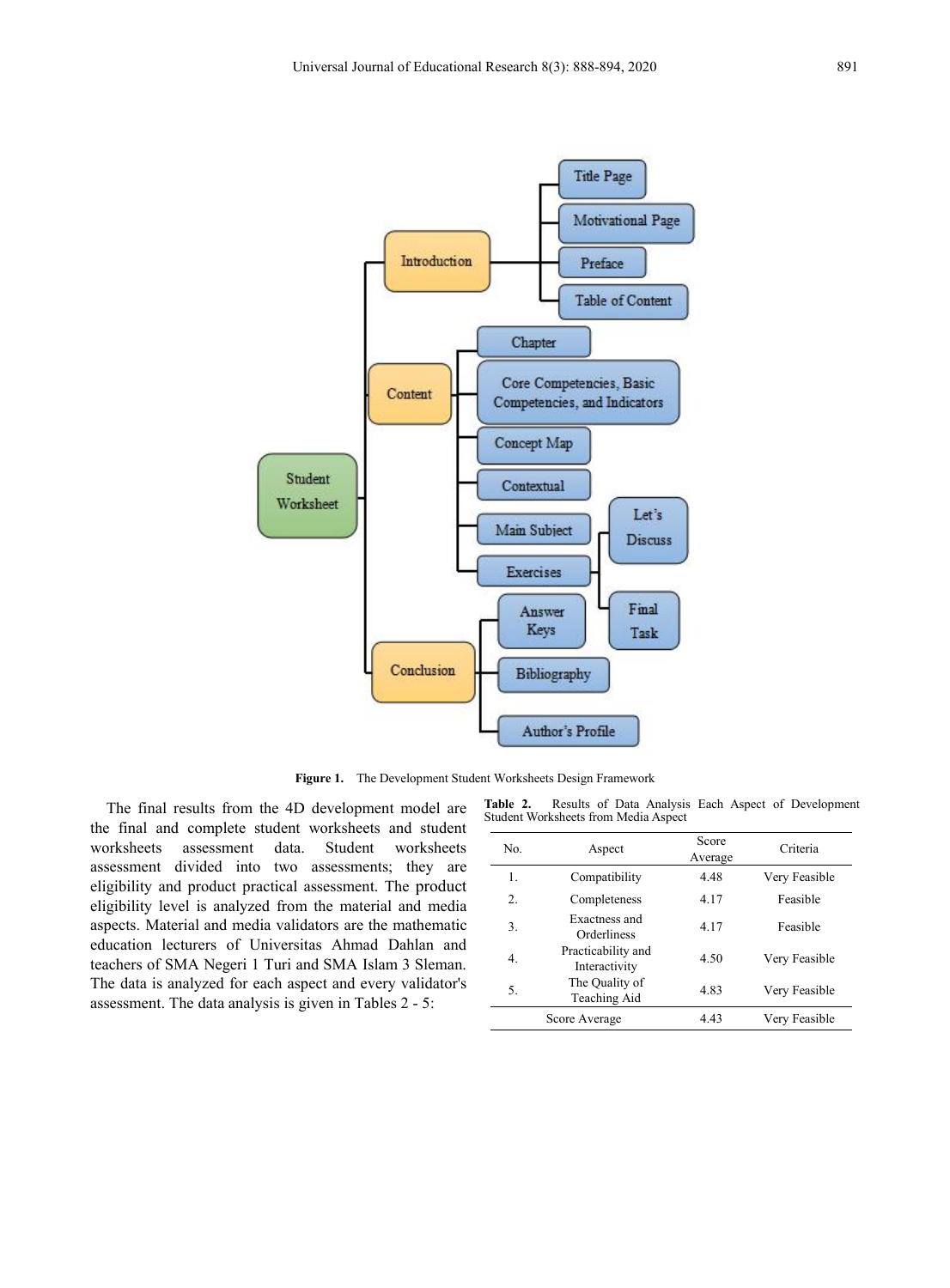

**Figure 1.** The Development Student Worksheets Design Framework

The final results from the 4D development model are the final and complete student worksheets and student worksheets assessment data. Student worksheets assessment divided into two assessments; they are eligibility and product practical assessment. The product eligibility level is analyzed from the material and media aspects. Material and media validators are the mathematic education lecturers of Universitas Ahmad Dahlan and teachers of SMA Negeri 1 Turi and SMA Islam 3 Sleman. The data is analyzed for each aspect and every validator's assessment. The data analysis is given in Tables 2 - 5:

**Table 2.** Results of Data Analysis Each Aspect of Development Student Worksheets from Media Aspect

| 1.<br>4.48<br>Very Feasible<br>Compatibility<br>2.<br>4.17<br>Completeness<br>Feasible<br>Exactness and<br>3.<br>4.17<br>Feasible<br>Orderliness<br>Practicability and<br>4.<br>4.50<br>Very Feasible<br>Interactivity<br>The Quality of<br>4.83<br>5.<br>Very Feasible<br>Teaching Aid<br>4.43<br>Very Feasible<br>Score Average | No. | Aspect | Score<br>Average | Criteria |
|-----------------------------------------------------------------------------------------------------------------------------------------------------------------------------------------------------------------------------------------------------------------------------------------------------------------------------------|-----|--------|------------------|----------|
|                                                                                                                                                                                                                                                                                                                                   |     |        |                  |          |
|                                                                                                                                                                                                                                                                                                                                   |     |        |                  |          |
|                                                                                                                                                                                                                                                                                                                                   |     |        |                  |          |
|                                                                                                                                                                                                                                                                                                                                   |     |        |                  |          |
|                                                                                                                                                                                                                                                                                                                                   |     |        |                  |          |
|                                                                                                                                                                                                                                                                                                                                   |     |        |                  |          |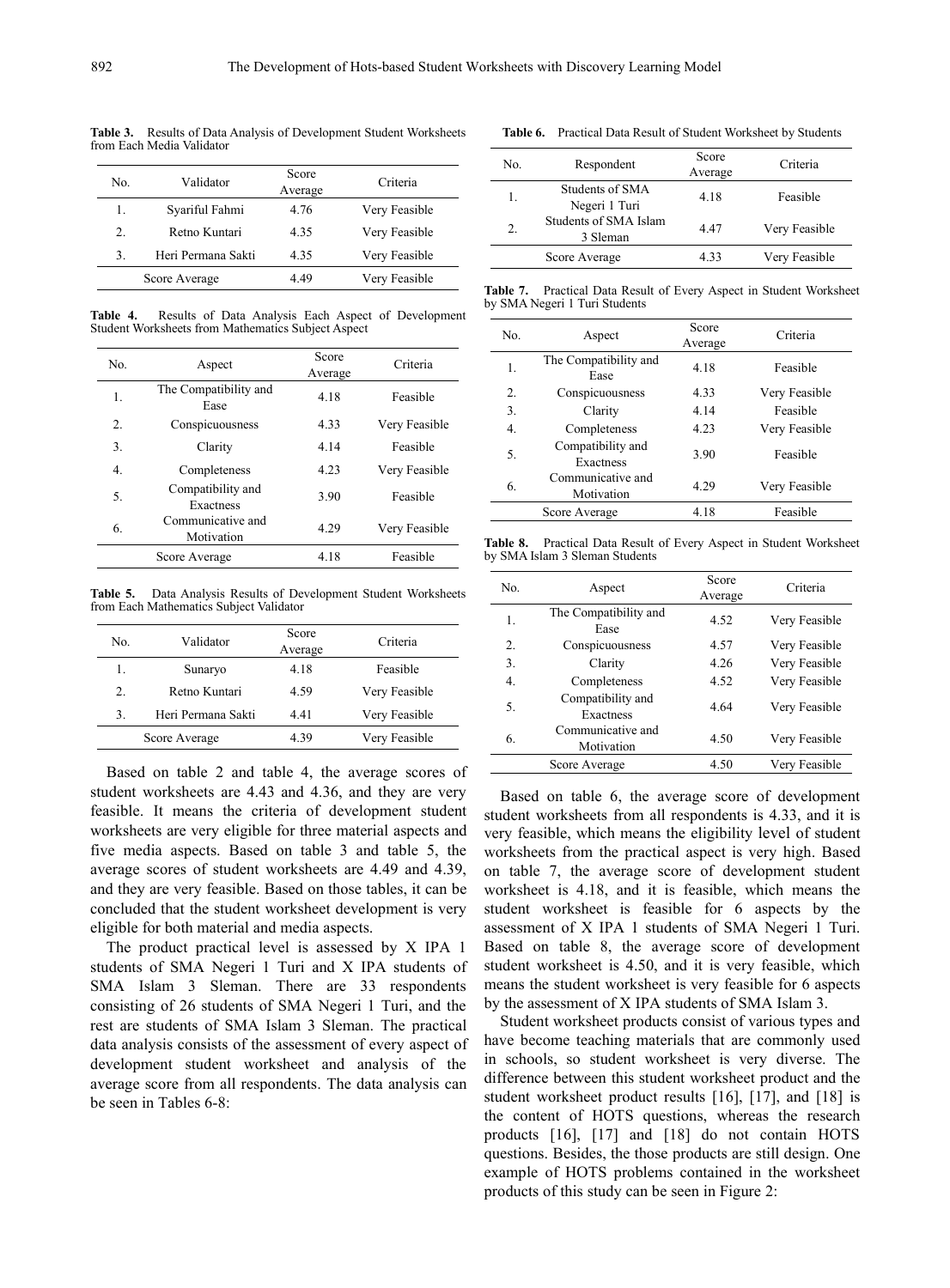**Table 3.** Results of Data Analysis of Development Student Worksheets from Each Media Validator

| No. | Validator          | Score<br>Average | Criteria      | NO.      |
|-----|--------------------|------------------|---------------|----------|
| 1.  | Syariful Fahmi     | 4.76             | Very Feasible |          |
| 2.  | Retno Kuntari      | 4.35             | Very Feasible | 2.       |
| 3.  | Heri Permana Sakti | 4.35             | Very Feasible |          |
|     | Score Average      | 4.49             | Very Feasible | Table 7. |
|     |                    |                  |               |          |

**Table 4.** Results of Data Analysis Each Aspect of Development Student Worksheets from Mathematics Subject Aspect

|                  |                                 |                  |               |          |                                         | Average |
|------------------|---------------------------------|------------------|---------------|----------|-----------------------------------------|---------|
| No.              | Aspect                          | Score<br>Average | Criteria      | 1.       | The Compatibility and<br>Ease           | 4.18    |
| 1.               | The Compatibility and           | 4.18             | Feasible      | 2.       | Conspicuousness                         | 4.33    |
|                  | Ease                            |                  |               | 3.       | Clarity                                 | 4.14    |
| 2.               | Conspicuousness                 | 4.33             | Very Feasible | 4.       | Completeness                            | 4.23    |
| 3.               | Clarity                         | 4.14             | Feasible      | 5.       | Compatibility and                       | 3.90    |
| $\overline{4}$ . | Completeness                    | 4.23             | Very Feasible |          | Exactness<br>Communicative and          |         |
| 5.               | Compatibility and               | 3.90             | Feasible      | 6.       | Motivation                              | 4.29    |
|                  | Exactness                       |                  |               |          | Score Average                           | 4.18    |
| 6.               | Communicative and<br>Motivation | 4.29             | Very Feasible | Table 8. | Practical Data Result of Every Aspect i |         |
|                  | Score Average                   | 4.18             | Feasible      |          | by SMA Islam 3 Sleman Students          |         |
|                  |                                 |                  |               |          |                                         |         |

**Table 5.** Data Analysis Results of Development Student Worksheets from Each Mathematics Subject Validator

| No. | Validator          | Score<br>Average | Criteria      |
|-----|--------------------|------------------|---------------|
|     | Sunaryo            | 4.18             | Feasible      |
| 2.  | Retno Kuntari      | 4.59             | Very Feasible |
| 3.  | Heri Permana Sakti | 4.41             | Very Feasible |
|     | Score Average      | 4.39             | Very Feasible |

Based on table 2 and table 4, the average scores of student worksheets are 4.43 and 4.36, and they are very feasible. It means the criteria of development student worksheets are very eligible for three material aspects and five media aspects. Based on table 3 and table 5, the average scores of student worksheets are 4.49 and 4.39, and they are very feasible. Based on those tables, it can be concluded that the student worksheet development is very eligible for both material and media aspects.

The product practical level is assessed by X IPA 1 students of SMA Negeri 1 Turi and X IPA students of SMA Islam 3 Sleman. There are 33 respondents consisting of 26 students of SMA Negeri 1 Turi, and the rest are students of SMA Islam 3 Sleman. The practical data analysis consists of the assessment of every aspect of development student worksheet and analysis of the average score from all respondents. The data analysis can be seen in Tables 6-8:

| No. | Respondent                        | Score<br>Average | Criteria      |
|-----|-----------------------------------|------------------|---------------|
|     | Students of SMA<br>Negeri 1 Turi  | 4.18             | Feasible      |
| 2.  | Students of SMA Islam<br>3 Sleman | 4.47             | Very Feasible |
|     | Score Average                     | 4.33             | Very Feasible |

**Table 7.** Practical Data Result of Every Aspect in Student Worksheet by SMA Negeri 1 Turi Students

| No.          | Aspect                          | Score<br>Average | Criteria      |
|--------------|---------------------------------|------------------|---------------|
| 1.           | The Compatibility and<br>Ease   | 4.18             | Feasible      |
| $\mathbf{2}$ | Conspicuousness                 | 4.33             | Very Feasible |
| 3.           | Clarity                         | 4.14             | Feasible      |
| 4.           | Completeness                    | 4.23             | Very Feasible |
| 5.           | Compatibility and<br>Exactness  | 3.90             | Feasible      |
| 6.           | Communicative and<br>Motivation | 4.29             | Very Feasible |
|              | Score Average                   | 4.18             | Feasible      |

**Table 8.** Practical Data Result of Every Aspect in Student Worksheet

| No.              | Aspect                          | Score<br>Average | Criteria      |
|------------------|---------------------------------|------------------|---------------|
| 1.               | The Compatibility and<br>Ease   | 4.52             | Very Feasible |
| $\overline{2}$ . | Conspicuousness                 | 4.57             | Very Feasible |
| 3.               | Clarity                         | 4.26             | Very Feasible |
| 4.               | Completeness                    | 4.52             | Very Feasible |
| 5.               | Compatibility and<br>Exactness  | 4.64             | Very Feasible |
| 6.               | Communicative and<br>Motivation | 4.50             | Very Feasible |
|                  | Score Average                   | 4.50             | Very Feasible |

Based on table 6, the average score of development student worksheets from all respondents is 4.33, and it is very feasible, which means the eligibility level of student worksheets from the practical aspect is very high. Based on table 7, the average score of development student worksheet is 4.18, and it is feasible, which means the student worksheet is feasible for 6 aspects by the assessment of X IPA 1 students of SMA Negeri 1 Turi. Based on table 8, the average score of development student worksheet is 4.50, and it is very feasible, which means the student worksheet is very feasible for 6 aspects by the assessment of X IPA students of SMA Islam 3.

Student worksheet products consist of various types and have become teaching materials that are commonly used in schools, so student worksheet is very diverse. The difference between this student worksheet product and the student worksheet product results [16], [17], and [18] is the content of HOTS questions, whereas the research products [16], [17] and [18] do not contain HOTS questions. Besides, the those products are still design. One example of HOTS problems contained in the worksheet products of this study can be seen in Figure 2: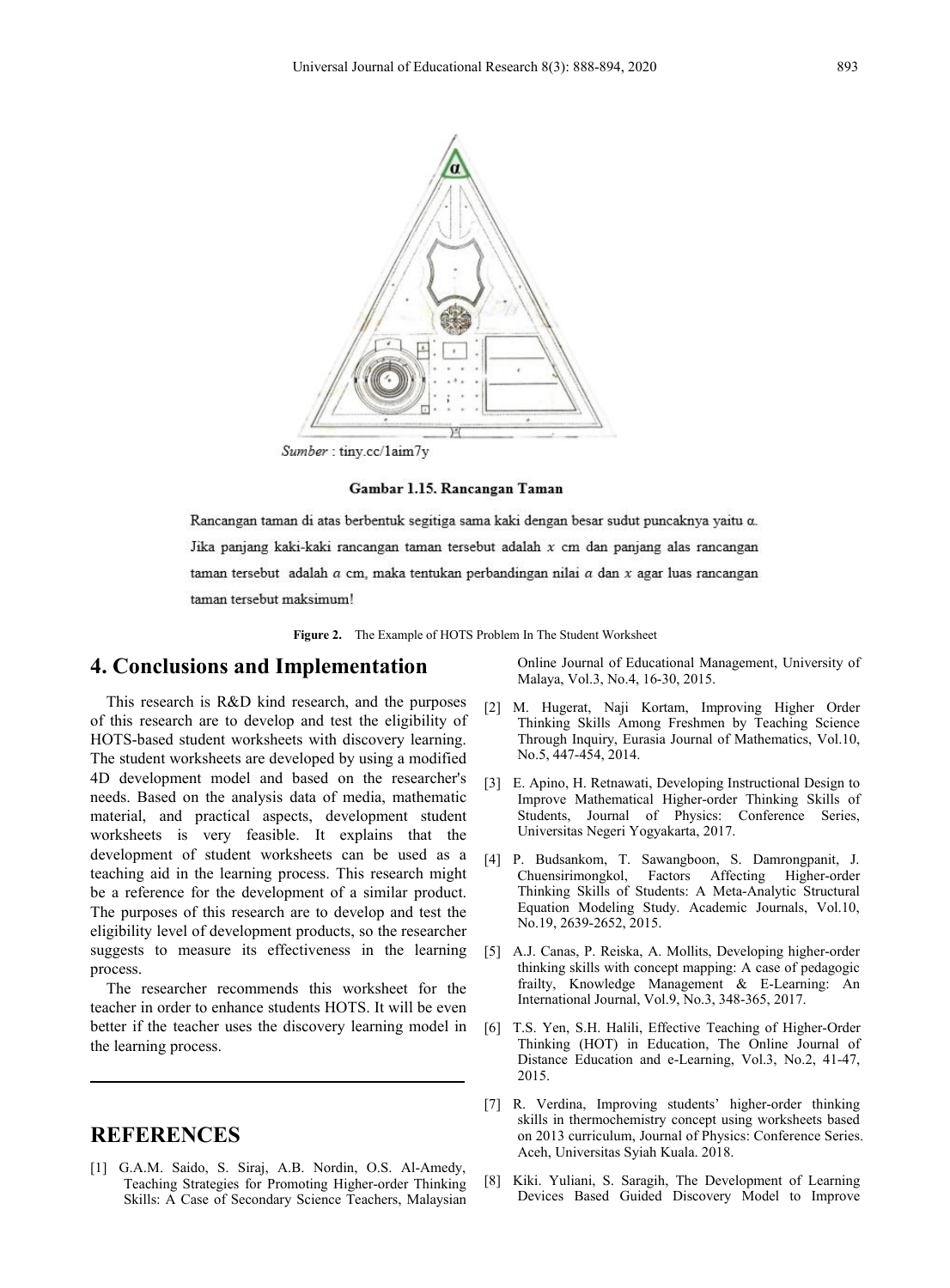

Sumber: tiny.cc/1aim7y

Gambar 1.15. Rancangan Taman

Rancangan taman di atas berbentuk segitiga sama kaki dengan besar sudut puncaknya yaitu a. Jika panjang kaki-kaki rancangan taman tersebut adalah x cm dan panjang alas rancangan taman tersebut adalah  $a$  cm, maka tentukan perbandingan nilai  $a$  dan  $x$  agar luas rancangan taman tersebut maksimum!

**Figure 2.** The Example of HOTS Problem In The Student Worksheet

## **4. Conclusions and Implementation**

This research is R&D kind research, and the purposes  $\begin{bmatrix} 2 \end{bmatrix}$ of this research are to develop and test the eligibility of HOTS-based student worksheets with discovery learning. The student worksheets are developed by using a modified 4D development model and based on the researcher's [3] needs. Based on the analysis data of media, mathematic material, and practical aspects, development student worksheets is very feasible. It explains that the development of student worksheets can be used as a  $\begin{bmatrix}4\end{bmatrix}$ teaching aid in the learning process. This research might be a reference for the development of a similar product. The purposes of this research are to develop and test the eligibility level of development products, so the researcher suggests to measure its effectiveness in the learning process.

The researcher recommends this worksheet for the teacher in order to enhance students HOTS. It will be even better if the teacher uses the discovery learning model in [6] the learning process.

### **REFERENCES**

[1] G.A.M. Saido, S. Siraj, A.B. Nordin, O.S. Al-Amedy, Teaching Strategies for Promoting Higher-order Thinking Skills: A Case of Secondary Science Teachers, Malaysian

Online Journal of Educational Management, University of Malaya, Vol.3, No.4, 16-30, 2015.

- M. Hugerat, Naji Kortam, Improving Higher Order Thinking Skills Among Freshmen by Teaching Science Through Inquiry, Eurasia Journal of Mathematics, Vol.10, No.5, 447-454, 2014.
- E. Apino, H. Retnawati, Developing Instructional Design to Improve Mathematical Higher-order Thinking Skills of Students, Journal of Physics: Conference Series, Universitas Negeri Yogyakarta, 2017.
- [4] P. Budsankom, T. Sawangboon, S. Damrongpanit, J. Factors Affecting Higher-order Thinking Skills of Students: A Meta-Analytic Structural Equation Modeling Study. Academic Journals, Vol.10, No.19, 2639-2652, 2015.
- [5] A.J. Canas, P. Reiska, A. Mollits, Developing higher-order thinking skills with concept mapping: A case of pedagogic frailty, Knowledge Management & E-Learning: An International Journal, Vol.9, No.3, 348-365, 2017.
- T.S. Yen, S.H. Halili, Effective Teaching of Higher-Order Thinking (HOT) in Education, The Online Journal of Distance Education and e-Learning, Vol.3, No.2, 41-47, 2015.
- [7] R. Verdina, Improving students' higher-order thinking skills in thermochemistry concept using worksheets based on 2013 curriculum, Journal of Physics: Conference Series. Aceh, Universitas Syiah Kuala. 2018.
- Kiki. Yuliani, S. Saragih, The Development of Learning Devices Based Guided Discovery Model to Improve